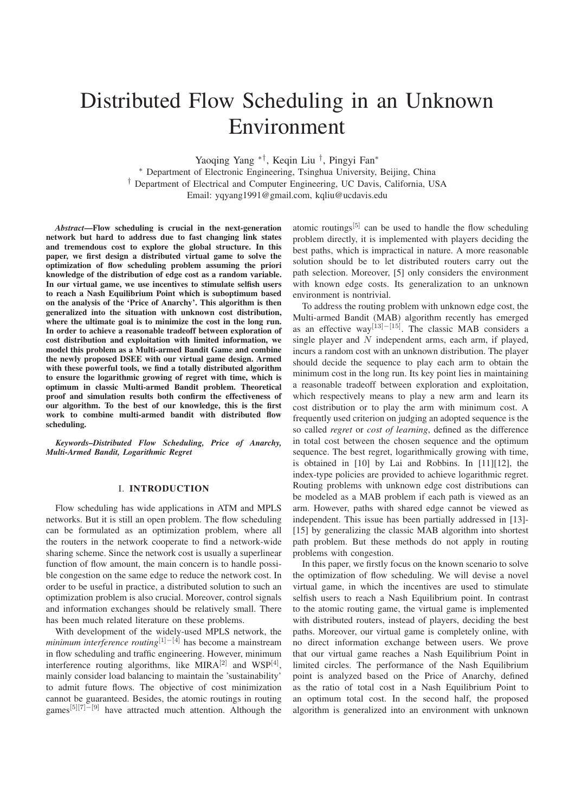# Distributed Flow Scheduling in an Unknown Environment

Yaoqing Yang ∗†, Keqin Liu †, Pingyi Fan∗ ∗ Department of Electronic Engineering, Tsinghua University, Beijing, China † Department of Electrical and Computer Engineering, UC Davis, California, USA Email: yqyang1991@gmail.com, kqliu@ucdavis.edu

*Abstract*—Flow scheduling is crucial in the next-generation network but hard to address due to fast changing link states and tremendous cost to explore the global structure. In this paper, we first design a distributed virtual game to solve the optimization of flow scheduling problem assuming the priori knowledge of the distribution of edge cost as a random variable. In our virtual game, we use incentives to stimulate selfish users to reach a Nash Equilibrium Point which is suboptimum based on the analysis of the 'Price of Anarchy'. This algorithm is then generalized into the situation with unknown cost distribution, where the ultimate goal is to minimize the cost in the long run. In order to achieve a reasonable tradeoff between exploration of cost distribution and exploitation with limited information, we model this problem as a Multi-armed Bandit Game and combine the newly proposed DSEE with our virtual game design. Armed with these powerful tools, we find a totally distributed algorithm to ensure the logarithmic growing of regret with time, which is optimum in classic Multi-armed Bandit problem. Theoretical proof and simulation results both confirm the effectiveness of our algorithm. To the best of our knowledge, this is the first work to combine multi-armed bandit with distributed flow scheduling.

*Keywords–Distributed Flow Scheduling, Price of Anarchy, Multi-Armed Bandit, Logarithmic Regret*

#### I. INTRODUCTION

Flow scheduling has wide applications in ATM and MPLS networks. But it is still an open problem. The flow scheduling can be formulated as an optimization problem, where all the routers in the network cooperate to find a network-wide sharing scheme. Since the network cost is usually a superlinear function of flow amount, the main concern is to handle possible congestion on the same edge to reduce the network cost. In order to be useful in practice, a distributed solution to such an optimization problem is also crucial. Moreover, control signals and information exchanges should be relatively small. There has been much related literature on these problems.

With development of the widely-used MPLS network, the *minimum interference routing*<sup>[1]−[4]</sup> has become a mainstream in flow scheduling and traffic engineering. However, minimum interference routing algorithms, like  $MIRA^{[2]}$  and  $WSP^{[4]}$ , mainly consider load balancing to maintain the 'sustainability' to admit future flows. The objective of cost minimization cannot be guaranteed. Besides, the atomic routings in routing games<sup>[5][7]–[9]</sup> have attracted much attention. Although the

atomic routings<sup>[5]</sup> can be used to handle the flow scheduling problem directly, it is implemented with players deciding the best paths, which is impractical in nature. A more reasonable solution should be to let distributed routers carry out the path selection. Moreover, [5] only considers the environment with known edge costs. Its generalization to an unknown environment is nontrivial.

To address the routing problem with unknown edge cost, the Multi-armed Bandit (MAB) algorithm recently has emerged as an effective way[13]−[15]. The classic MAB considers a single player and  $\dot{N}$  independent arms, each arm, if played, incurs a random cost with an unknown distribution. The player should decide the sequence to play each arm to obtain the minimum cost in the long run. Its key point lies in maintaining a reasonable tradeoff between exploration and exploitation, which respectively means to play a new arm and learn its cost distribution or to play the arm with minimum cost. A frequently used criterion on judging an adopted sequence is the so called *regret* or *cost of learning*, defined as the difference in total cost between the chosen sequence and the optimum sequence. The best regret, logarithmically growing with time, is obtained in [10] by Lai and Robbins. In [11][12], the index-type policies are provided to achieve logarithmic regret. Routing problems with unknown edge cost distributions can be modeled as a MAB problem if each path is viewed as an arm. However, paths with shared edge cannot be viewed as independent. This issue has been partially addressed in [13]- [15] by generalizing the classic MAB algorithm into shortest path problem. But these methods do not apply in routing problems with congestion.

In this paper, we firstly focus on the known scenario to solve the optimization of flow scheduling. We will devise a novel virtual game, in which the incentives are used to stimulate selfish users to reach a Nash Equilibrium point. In contrast to the atomic routing game, the virtual game is implemented with distributed routers, instead of players, deciding the best paths. Moreover, our virtual game is completely online, with no direct information exchange between users. We prove that our virtual game reaches a Nash Equilibrium Point in limited circles. The performance of the Nash Equilibrium point is analyzed based on the Price of Anarchy, defined as the ratio of total cost in a Nash Equilibrium Point to an optimum total cost. In the second half, the proposed algorithm is generalized into an environment with unknown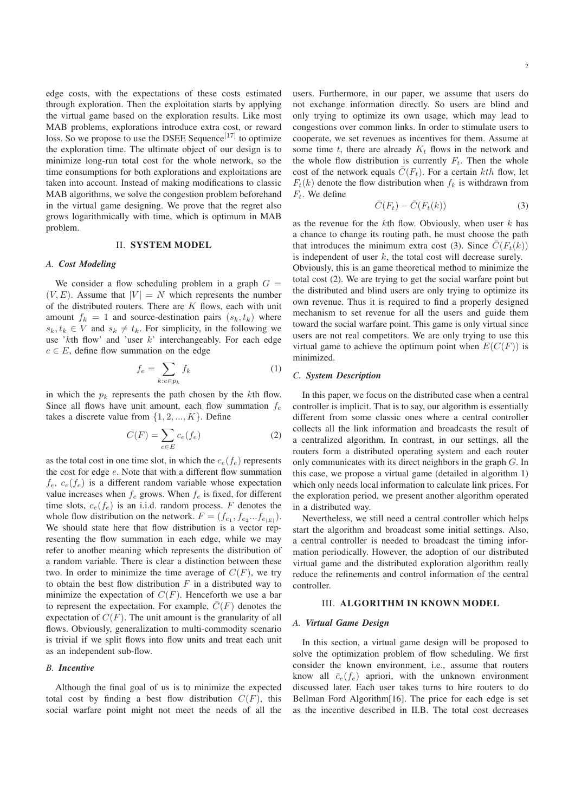edge costs, with the expectations of these costs estimated through exploration. Then the exploitation starts by applying the virtual game based on the exploration results. Like most MAB problems, explorations introduce extra cost, or reward loss. So we propose to use the DSEE Sequence<sup>[17]</sup> to optimize the exploration time. The ultimate object of our design is to minimize long-run total cost for the whole network, so the time consumptions for both explorations and exploitations are taken into account. Instead of making modifications to classic MAB algorithms, we solve the congestion problem beforehand in the virtual game designing. We prove that the regret also grows logarithmically with time, which is optimum in MAB problem.

#### II. SYSTEM MODEL

#### *A. Cost Modeling*

We consider a flow scheduling problem in a graph  $G =$  $(V, E)$ . Assume that  $|V| = N$  which represents the number of the distributed routers. There are  $K$  flows, each with unit amount  $f_k = 1$  and source-destination pairs  $(s_k, t_k)$  where  $s_k, t_k \in V$  and  $s_k \neq t_k$ . For simplicity, in the following we use 'kth flow' and 'user  $k$ ' interchangeably. For each edge  $e \in E$ , define flow summation on the edge

$$
f_e = \sum_{k: e \in p_k} f_k \tag{1}
$$

in which the  $p_k$  represents the path chosen by the kth flow. Since all flows have unit amount, each flow summation  $f_e$ takes a discrete value from  $\{1, 2, ..., K\}$ . Define

$$
C(F) = \sum_{e \in E} c_e(f_e)
$$
 (2)

as the total cost in one time slot, in which the  $c_e(f_e)$  represents the cost for edge e. Note that with a different flow summation  $f_e, c_e(f_e)$  is a different random variable whose expectation value increases when  $f_e$  grows. When  $f_e$  is fixed, for different time slots,  $c_e(f_e)$  is an i.i.d. random process. F denotes the whole flow distribution on the network.  $F = (f_{e_1}, f_{e_2}...f_{e_{|E|}})$ . We should state here that flow distribution is a vector representing the flow summation in each edge, while we may refer to another meaning which represents the distribution of a random variable. There is clear a distinction between these two. In order to minimize the time average of  $C(F)$ , we try to obtain the best flow distribution  $F$  in a distributed way to minimize the expectation of  $C(F)$ . Henceforth we use a bar to represent the expectation. For example,  $\overline{C}(F)$  denotes the expectation of  $C(F)$ . The unit amount is the granularity of all flows. Obviously, generalization to multi-commodity scenario is trivial if we split flows into flow units and treat each unit as an independent sub-flow.

# *B. Incentive*

Although the final goal of us is to minimize the expected total cost by finding a best flow distribution  $C(F)$ , this social warfare point might not meet the needs of all the

users. Furthermore, in our paper, we assume that users do not exchange information directly. So users are blind and only trying to optimize its own usage, which may lead to congestions over common links. In order to stimulate users to cooperate, we set revenues as incentives for them. Assume at some time t, there are already  $K_t$  flows in the network and the whole flow distribution is currently  $F_t$ . Then the whole cost of the network equals  $\overline{C}(F_t)$ . For a certain kth flow, let  $F_t(k)$  denote the flow distribution when  $f_k$  is withdrawn from  $F_t$ . We define

$$
\bar{C}(F_t) - \bar{C}(F_t(k))\tag{3}
$$

as the revenue for the  $k$ th flow. Obviously, when user  $k$  has a chance to change its routing path, he must choose the path that introduces the minimum extra cost (3). Since  $C(F_t(k))$ is independent of user  $k$ , the total cost will decrease surely.

Obviously, this is an game theoretical method to minimize the total cost (2). We are trying to get the social warfare point but the distributed and blind users are only trying to optimize its own revenue. Thus it is required to find a properly designed mechanism to set revenue for all the users and guide them toward the social warfare point. This game is only virtual since users are not real competitors. We are only trying to use this virtual game to achieve the optimum point when  $E(C(F))$  is minimized.

#### *C. System Description*

In this paper, we focus on the distributed case when a central controller is implicit. That is to say, our algorithm is essentially different from some classic ones where a central controller collects all the link information and broadcasts the result of a centralized algorithm. In contrast, in our settings, all the routers form a distributed operating system and each router only communicates with its direct neighbors in the graph G. In this case, we propose a virtual game (detailed in algorithm 1) which only needs local information to calculate link prices. For the exploration period, we present another algorithm operated in a distributed way.

Nevertheless, we still need a central controller which helps start the algorithm and broadcast some initial settings. Also, a central controller is needed to broadcast the timing information periodically. However, the adoption of our distributed virtual game and the distributed exploration algorithm really reduce the refinements and control information of the central controller.

#### III. ALGORITHM IN KNOWN MODEL

#### *A. Virtual Game Design*

In this section, a virtual game design will be proposed to solve the optimization problem of flow scheduling. We first consider the known environment, i.e., assume that routers know all  $\bar{c}_e(f_e)$  apriori, with the unknown environment discussed later. Each user takes turns to hire routers to do Bellman Ford Algorithm[16]. The price for each edge is set as the incentive described in II.B. The total cost decreases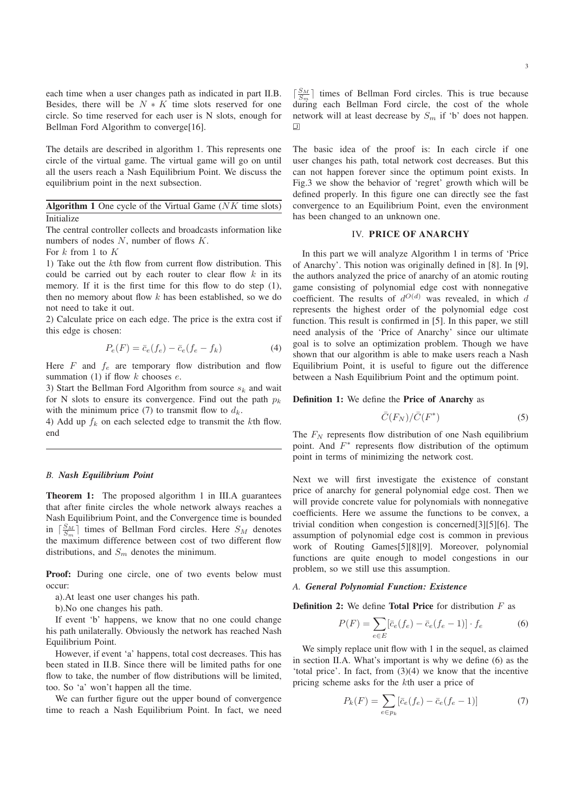each time when a user changes path as indicated in part II.B. Besides, there will be  $N * K$  time slots reserved for one circle. So time reserved for each user is N slots, enough for Bellman Ford Algorithm to converge[16].

The details are described in algorithm 1. This represents one circle of the virtual game. The virtual game will go on until all the users reach a Nash Equilibrium Point. We discuss the equilibrium point in the next subsection.

# Algorithm 1 One cycle of the Virtual Game  $(NK)$  time slots) **Initialize**

The central controller collects and broadcasts information like numbers of nodes  $N$ , number of flows  $K$ .

For  $k$  from 1 to  $K$ 

1) Take out the kth flow from current flow distribution. This could be carried out by each router to clear flow  $k$  in its memory. If it is the first time for this flow to do step (1), then no memory about flow  $k$  has been established, so we do not need to take it out.

2) Calculate price on each edge. The price is the extra cost if this edge is chosen:

$$
P_e(F) = \bar{c}_e(f_e) - \bar{c}_e(f_e - f_k)
$$
 (4)

Here  $F$  and  $f_e$  are temporary flow distribution and flow summation (1) if flow  $k$  chooses  $e$ .

3) Start the Bellman Ford Algorithm from source  $s_k$  and wait for N slots to ensure its convergence. Find out the path  $p_k$ with the minimum price (7) to transmit flow to  $d_k$ .

4) Add up  $f_k$  on each selected edge to transmit the kth flow. end

#### *B. Nash Equilibrium Point*

Theorem 1: The proposed algorithm 1 in III.A guarantees that after finite circles the whole network always reaches a Nash Equilibrium Point, and the Convergence time is bounded in  $\lceil \frac{S_M}{S_m} \rceil$  times of Bellman Ford circles. Here  $S_M$  denotes the maximum difference between cost of two different flow distributions, and  $S_m$  denotes the minimum.

Proof: During one circle, one of two events below must occur:

a).At least one user changes his path.

b).No one changes his path.

If event 'b' happens, we know that no one could change his path unilaterally. Obviously the network has reached Nash Equilibrium Point.

However, if event 'a' happens, total cost decreases. This has been stated in II.B. Since there will be limited paths for one flow to take, the number of flow distributions will be limited, too. So 'a' won't happen all the time.

We can further figure out the upper bound of convergence time to reach a Nash Equilibrium Point. In fact, we need

 $\lceil \frac{S_M}{S_m} \rceil$  times of Bellman Ford circles. This is true because during each Bellman Ford circle, the cost of the whole network will at least decrease by  $S_m$  if 'b' does not happen.  $\Box$ 

The basic idea of the proof is: In each circle if one user changes his path, total network cost decreases. But this can not happen forever since the optimum point exists. In Fig.3 we show the behavior of 'regret' growth which will be defined properly. In this figure one can directly see the fast convergence to an Equilibrium Point, even the environment has been changed to an unknown one.

#### IV. PRICE OF ANARCHY

In this part we will analyze Algorithm 1 in terms of 'Price of Anarchy'. This notion was originally defined in [8]. In [9], the authors analyzed the price of anarchy of an atomic routing game consisting of polynomial edge cost with nonnegative coefficient. The results of  $d^{O(d)}$  was revealed, in which d represents the highest order of the polynomial edge cost function. This result is confirmed in [5]. In this paper, we still need analysis of the 'Price of Anarchy' since our ultimate goal is to solve an optimization problem. Though we have shown that our algorithm is able to make users reach a Nash Equilibrium Point, it is useful to figure out the difference between a Nash Equilibrium Point and the optimum point.

#### Definition 1: We define the Price of Anarchy as

$$
\bar{C}(F_N)/\bar{C}(F^*)\tag{5}
$$

The  $F_N$  represents flow distribution of one Nash equilibrium point. And  $F^*$  represents flow distribution of the optimum point in terms of minimizing the network cost.

Next we will first investigate the existence of constant price of anarchy for general polynomial edge cost. Then we will provide concrete value for polynomials with nonnegative coefficients. Here we assume the functions to be convex, a trivial condition when congestion is concerned[3][5][6]. The assumption of polynomial edge cost is common in previous work of Routing Games[5][8][9]. Moreover, polynomial functions are quite enough to model congestions in our problem, so we still use this assumption.

#### *A. General Polynomial Function: Existence*

**Definition 2:** We define **Total Price** for distribution  $F$  as

$$
P(F) = \sum_{e \in E} [\bar{c}_e(f_e) - \bar{c}_e(f_e - 1)] \cdot f_e \tag{6}
$$

We simply replace unit flow with 1 in the sequel, as claimed in section II.A. What's important is why we define (6) as the 'total price'. In fact, from (3)(4) we know that the incentive pricing scheme asks for the kth user a price of

$$
P_k(F) = \sum_{e \in p_k} \left[ \bar{c}_e(f_e) - \bar{c}_e(f_e - 1) \right]
$$
 (7)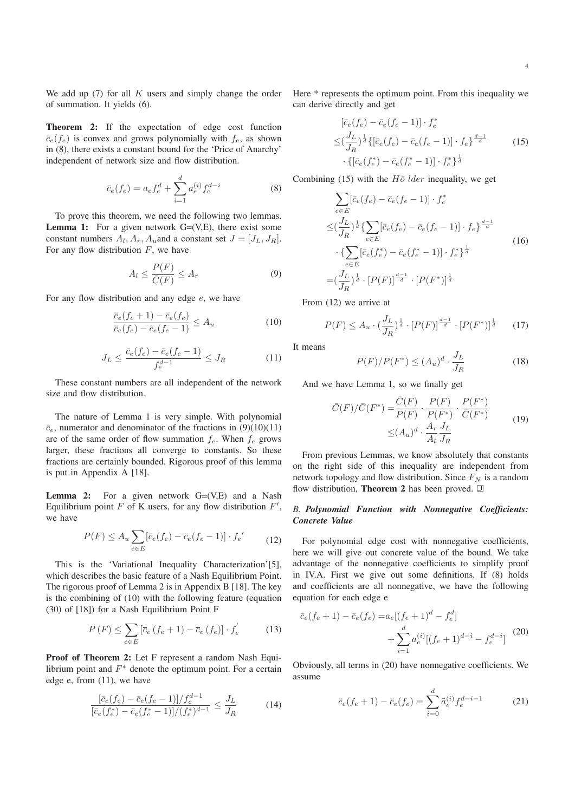We add up  $(7)$  for all K users and simply change the order of summation. It yields (6).

Theorem 2: If the expectation of edge cost function  $\bar{c}_e(f_e)$  is convex and grows polynomially with  $f_e$ , as shown in (8), there exists a constant bound for the 'Price of Anarchy' independent of network size and flow distribution.

$$
\bar{c}_e(f_e) = a_e f_e^d + \sum_{i=1}^d a_e^{(i)} f_e^{d-i}
$$
 (8)

To prove this theorem, we need the following two lemmas. **Lemma 1:** For a given network  $G=(V,E)$ , there exist some constant numbers  $A_l$ ,  $A_r$ ,  $A_u$  and a constant set  $J = [J_L, J_R]$ . For any flow distribution  $F$ , we have

$$
A_l \le \frac{P(F)}{\overline{C}(F)} \le A_r \tag{9}
$$

For any flow distribution and any edge  $e$ , we have

$$
\frac{\bar{c}_e(f_e+1) - \bar{c}_e(f_e)}{\bar{c}_e(f_e) - \bar{c}_e(f_e-1)} \le A_u \tag{10}
$$

$$
J_L \le \frac{\bar{c}_e(f_e) - \bar{c}_e(f_e - 1)}{f_e^{d-1}} \le J_R
$$
 (11)

These constant numbers are all independent of the network size and flow distribution.

The nature of Lemma 1 is very simple. With polynomial  $\overline{c}_e$ , numerator and denominator of the fractions in (9)(10)(11) are of the same order of flow summation  $f_e$ . When  $f_e$  grows larger, these fractions all converge to constants. So these fractions are certainly bounded. Rigorous proof of this lemma is put in Appendix A [18].

**Lemma 2:** For a given network  $G=(V,E)$  and a Nash Equilibrium point  $F$  of K users, for any flow distribution  $F'$ , we have

$$
P(F) \le A_u \sum_{e \in E} [\bar{c}_e(f_e) - \bar{c}_e(f_e - 1)] \cdot f_e'
$$
 (12)

This is the 'Variational Inequality Characterization'[5], which describes the basic feature of a Nash Equilibrium Point. The rigorous proof of Lemma 2 is in Appendix B [18]. The key is the combining of (10) with the following feature (equation (30) of [18]) for a Nash Equilibrium Point F

$$
P\left(F\right) \le \sum_{e \in E} \left[\overline{c}_e \left(f_e + 1\right) - \overline{c}_e \left(f_e\right)\right] \cdot f'_e \tag{13}
$$

Proof of Theorem 2: Let F represent a random Nash Equilibrium point and  $F^*$  denote the optimum point. For a certain edge e, from (11), we have

$$
\frac{[\bar{c}_e(f_e) - \bar{c}_e(f_e - 1)]/f_e^{d-1}}{[\bar{c}_e(f_e^*) - \bar{c}_e(f_e^*-1)]/(f_e^*)^{d-1}} \le \frac{J_L}{J_R}
$$
(14)

Here \* represents the optimum point. From this inequality we can derive directly and get

$$
\begin{aligned}\n[\bar{c}_e(f_e) - \bar{c}_e(f_e - 1)] \cdot f_e^* \\
\leq & (\frac{J_L}{J_R})^{\frac{1}{d}} \{ [\bar{c}_e(f_e) - \bar{c}_e(f_e - 1)] \cdot f_e \}^{\frac{d-1}{d}} \\
\cdot \{ [\bar{c}_e(f_e^*) - \bar{c}_e(f_e^* - 1)] \cdot f_e^* \}^{\frac{1}{d}}\n\end{aligned} \tag{15}
$$

Combining (15) with the  $H\ddot{o}$  lder inequality, we get

$$
\sum_{e \in E} [\bar{c}_e(f_e) - \bar{c}_e(f_e - 1)] \cdot f_e^*
$$
\n
$$
\leq (\frac{J_L}{J_R})^{\frac{1}{d}} \{ \sum_{e \in E} [\bar{c}_e(f_e) - \bar{c}_e(f_e - 1)] \cdot f_e \}^{\frac{d-1}{d}}
$$
\n
$$
\cdot \{ \sum_{e \in E} [\bar{c}_e(f_e^*) - \bar{c}_e(f_e^* - 1)] \cdot f_e^* \}^{\frac{1}{d}}
$$
\n
$$
= (\frac{J_L}{J_R})^{\frac{1}{d}} \cdot [P(F)]^{\frac{d-1}{d}} \cdot [P(F^*)]^{\frac{1}{d}}
$$
\n(16)

From (12) we arrive at

$$
P(F) \le A_u \cdot (\frac{J_L}{J_R})^{\frac{1}{d}} \cdot [P(F)]^{\frac{d-1}{d}} \cdot [P(F^*)]^{\frac{1}{d}} \tag{17}
$$

It means

$$
P(F)/P(F^*) \le (A_u)^d \cdot \frac{J_L}{J_R} \tag{18}
$$

And we have Lemma 1, so we finally get

$$
\bar{C}(F)/\bar{C}(F^*) = \frac{\bar{C}(F)}{P(F)} \cdot \frac{P(F)}{P(F^*)} \cdot \frac{P(F^*)}{\bar{C}(F^*)}
$$
\n
$$
\leq (A_u)^d \cdot \frac{A_r}{A_l} \frac{J_L}{J_R}
$$
\n(19)

From previous Lemmas, we know absolutely that constants on the right side of this inequality are independent from network topology and flow distribution. Since  $F_N$  is a random flow distribution, **Theorem 2** has been proved.  $\Box$ 

### *B. Polynomial Function with Nonnegative Coefficients: Concrete Value*

For polynomial edge cost with nonnegative coefficients, here we will give out concrete value of the bound. We take advantage of the nonnegative coefficients to simplify proof in IV.A. First we give out some definitions. If (8) holds and coefficients are all nonnegative, we have the following equation for each edge e

$$
\bar{c}_e(f_e + 1) - \bar{c}_e(f_e) = a_e[(f_e + 1)^d - f_e^d] + \sum_{i=1}^d a_e^{(i)}[(f_e + 1)^{d-i} - f_e^{d-i}]
$$
(20)

Obviously, all terms in (20) have nonnegative coefficients. We assume

$$
\bar{c}_e(f_e + 1) - \bar{c}_e(f_e) = \sum_{i=0}^d \tilde{a}_e^{(i)} f_e^{d-i-1}
$$
 (21)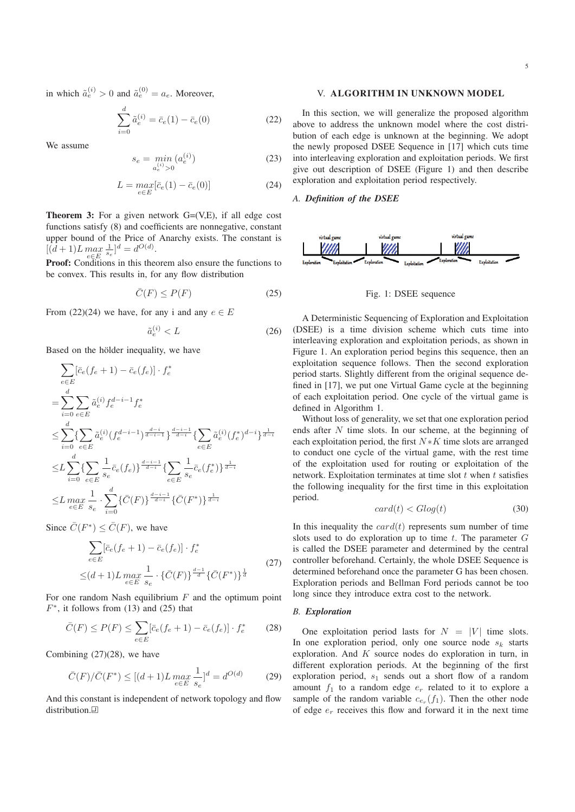in which  $\tilde{a}_e^{(i)} > 0$  and  $\tilde{a}_e^{(0)} = a_e$ . Moreover,

$$
\sum_{i=0}^{d} \tilde{a}_{e}^{(i)} = \bar{c}_{e}(1) - \bar{c}_{e}(0)
$$
\n(22)

We assume

$$
s_e = \min_{a_e^{(i)} > 0} (a_e^{(i)})
$$
 (23)

$$
L = \max_{e \in E} [\bar{c}_e(1) - \bar{c}_e(0)] \tag{24}
$$

**Theorem 3:** For a given network  $G=(V,E)$ , if all edge cost functions satisfy (8) and coefficients are nonnegative, constant upper bound of the Price of Anarchy exists. The constant is  $[(d+1)L \max_{e \in E} \frac{1}{s_e}]^d = d^{O(d)}.$ 

**Proof:** Conditions in this theorem also ensure the functions to be convex. This results in, for any flow distribution

$$
\bar{C}(F) \le P(F) \tag{25}
$$

From (22)(24) we have, for any i and any  $e \in E$ 

$$
\tilde{a}_e^{(i)} < L \tag{26}
$$

Based on the hölder inequality, we have

$$
\sum_{e \in E} [\bar{c}_e(f_e + 1) - \bar{c}_e(f_e)] \cdot f_e^*
$$
\n
$$
= \sum_{i=0}^d \sum_{e \in E} \tilde{a}_e^{(i)} f_e^{d-i-1} f_e^*
$$
\n
$$
\leq \sum_{i=0}^d \left\{ \sum_{e \in E} \tilde{a}_e^{(i)} (f_e^{d-i-1})^{\frac{d-i}{d-i-1}} \right\}^{\frac{d-i-1}{d-i}} \left\{ \sum_{e \in E} \tilde{a}_e^{(i)} (f_e^*)^{d-i} \right\}^{\frac{1}{d-i}}
$$
\n
$$
\leq L \sum_{i=0}^d \left\{ \sum_{e \in E} \frac{1}{s_e} \bar{c}_e(f_e) \right\}^{\frac{d-i-1}{d-i}} \left\{ \sum_{e \in E} \frac{1}{s_e} \bar{c}_e(f_e^*) \right\}^{\frac{1}{d-i}}
$$
\n
$$
\leq L \max_{e \in E} \frac{1}{s_e} \cdot \sum_{i=0}^d \left\{ \bar{C}(F) \right\}^{\frac{d-i-1}{d-i}} \left\{ \bar{C}(F^*) \right\}^{\frac{1}{d-i}}
$$

Since  $\overline{C}(F^*) \leq \overline{C}(F)$ , we have

$$
\sum_{e \in E} [\bar{c}_e(f_e + 1) - \bar{c}_e(f_e)] \cdot f_e^*
$$
\n
$$
\leq (d+1)L \max_{e \in E} \frac{1}{s_e} \cdot {\{\bar{C}(F)\}}^{\frac{d-1}{d}} {\{\bar{C}(F^*)\}}^{\frac{1}{d}}
$$
\n
$$
(27)
$$

For one random Nash equilibrium  $F$  and the optimum point  $F^*$ , it follows from (13) and (25) that

$$
\bar{C}(F) \le P(F) \le \sum_{e \in E} [\bar{c}_e(f_e + 1) - \bar{c}_e(f_e)] \cdot f_e^* \tag{28}
$$

Combining (27)(28), we have

$$
\bar{C}(F)/\bar{C}(F^*) \le [(d+1)L \max_{e \in E} \frac{1}{s_e}]^d = d^{O(d)} \tag{29}
$$

And this constant is independent of network topology and flow distribution.<sup>[1]</sup>

# V. ALGORITHM IN UNKNOWN MODEL

In this section, we will generalize the proposed algorithm above to address the unknown model where the cost distribution of each edge is unknown at the beginning. We adopt the newly proposed DSEE Sequence in [17] which cuts time into interleaving exploration and exploitation periods. We first give out description of DSEE (Figure 1) and then describe exploration and exploitation period respectively.

# *A. Definition of the DSEE*



Fig. 1: DSEE sequence

A Deterministic Sequencing of Exploration and Exploitation (DSEE) is a time division scheme which cuts time into interleaving exploration and exploitation periods, as shown in Figure 1. An exploration period begins this sequence, then an exploitation sequence follows. Then the second exploration period starts. Slightly different from the original sequence defined in [17], we put one Virtual Game cycle at the beginning of each exploitation period. One cycle of the virtual game is defined in Algorithm 1.

Without loss of generality, we set that one exploration period ends after  $N$  time slots. In our scheme, at the beginning of each exploitation period, the first  $N*K$  time slots are arranged to conduct one cycle of the virtual game, with the rest time of the exploitation used for routing or exploitation of the network. Exploitation terminates at time slot  $t$  when  $t$  satisfies the following inequality for the first time in this exploitation period.

$$
card(t) < G \log(t) \tag{30}
$$

In this inequality the  $card(t)$  represents sum number of time slots used to do exploration up to time  $t$ . The parameter  $G$ is called the DSEE parameter and determined by the central controller beforehand. Certainly, the whole DSEE Sequence is determined beforehand once the parameter G has been chosen. Exploration periods and Bellman Ford periods cannot be too long since they introduce extra cost to the network.

#### *B. Exploration*

One exploitation period lasts for  $N = |V|$  time slots. In one exploration period, only one source node  $s_k$  starts exploration. And  $K$  source nodes do exploration in turn, in different exploration periods. At the beginning of the first exploration period,  $s_1$  sends out a short flow of a random amount  $f_1$  to a random edge  $e_r$  related to it to explore a sample of the random variable  $c_{e_r}(f_1)$ . Then the other node of edge  $e_r$  receives this flow and forward it in the next time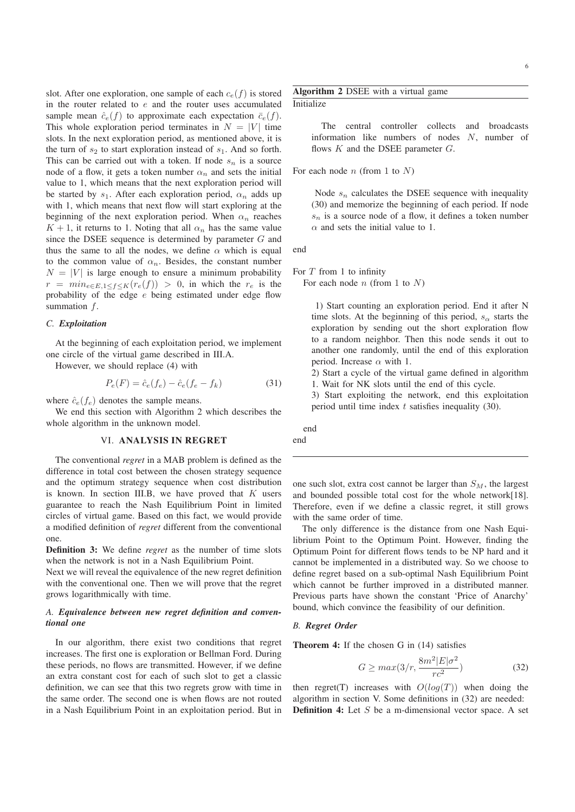slot. After one exploration, one sample of each  $c_e(f)$  is stored in the router related to  $e$  and the router uses accumulated sample mean  $\hat{c}_e(f)$  to approximate each expectation  $\bar{c}_e(f)$ . This whole exploration period terminates in  $N = |V|$  time slots. In the next exploration period, as mentioned above, it is the turn of  $s_2$  to start exploration instead of  $s_1$ . And so forth. This can be carried out with a token. If node  $s_n$  is a source node of a flow, it gets a token number  $\alpha_n$  and sets the initial value to 1, which means that the next exploration period will be started by  $s_1$ . After each exploration period,  $\alpha_n$  adds up with 1, which means that next flow will start exploring at the beginning of the next exploration period. When  $\alpha_n$  reaches  $K + 1$ , it returns to 1. Noting that all  $\alpha_n$  has the same value since the DSEE sequence is determined by parameter  $G$  and thus the same to all the nodes, we define  $\alpha$  which is equal to the common value of  $\alpha_n$ . Besides, the constant number  $N = |V|$  is large enough to ensure a minimum probability  $r = min_{e \in E, 1 \le f \le K}(r_e(f)) > 0$ , in which the  $r_e$  is the probability of the edge  $e$  being estimated under edge flow summation  $f$ .

# *C. Exploitation*

At the beginning of each exploitation period, we implement one circle of the virtual game described in III.A.

However, we should replace (4) with

$$
P_e(F) = \hat{c}_e(f_e) - \hat{c}_e(f_e - f_k)
$$
 (31)

where  $\hat{c}_e(f_e)$  denotes the sample means.

We end this section with Algorithm 2 which describes the whole algorithm in the unknown model.

# VI. ANALYSIS IN REGRET

The conventional *regret* in a MAB problem is defined as the difference in total cost between the chosen strategy sequence and the optimum strategy sequence when cost distribution is known. In section III.B, we have proved that  $K$  users guarantee to reach the Nash Equilibrium Point in limited circles of virtual game. Based on this fact, we would provide a modified definition of *regret* different from the conventional one.

Definition 3: We define *regret* as the number of time slots when the network is not in a Nash Equilibrium Point.

Next we will reveal the equivalence of the new regret definition with the conventional one. Then we will prove that the regret grows logarithmically with time.

# *A. Equivalence between new regret definition and conventional one*

In our algorithm, there exist two conditions that regret increases. The first one is exploration or Bellman Ford. During these periods, no flows are transmitted. However, if we define an extra constant cost for each of such slot to get a classic definition, we can see that this two regrets grow with time in the same order. The second one is when flows are not routed in a Nash Equilibrium Point in an exploitation period. But in Algorithm 2 DSEE with a virtual game **Initialize** 

> The central controller collects and broadcasts information like numbers of nodes N, number of flows  $K$  and the DSEE parameter  $G$ .

For each node  $n$  (from 1 to  $N$ )

Node  $s_n$  calculates the DSEE sequence with inequality (30) and memorize the beginning of each period. If node  $s_n$  is a source node of a flow, it defines a token number  $\alpha$  and sets the initial value to 1.

end

For  $T$  from 1 to infinity

For each node *n* (from 1 to  $N$ )

1) Start counting an exploration period. End it after N time slots. At the beginning of this period,  $s_{\alpha}$  starts the exploration by sending out the short exploration flow to a random neighbor. Then this node sends it out to another one randomly, until the end of this exploration period. Increase  $\alpha$  with 1.

2) Start a cycle of the virtual game defined in algorithm 1. Wait for NK slots until the end of this cycle.

3) Start exploiting the network, end this exploitation period until time index  $t$  satisfies inequality (30).

end end

one such slot, extra cost cannot be larger than  $S_M$ , the largest and bounded possible total cost for the whole network[18]. Therefore, even if we define a classic regret, it still grows with the same order of time.

The only difference is the distance from one Nash Equilibrium Point to the Optimum Point. However, finding the Optimum Point for different flows tends to be NP hard and it cannot be implemented in a distributed way. So we choose to define regret based on a sub-optimal Nash Equilibrium Point which cannot be further improved in a distributed manner. Previous parts have shown the constant 'Price of Anarchy' bound, which convince the feasibility of our definition.

#### *B. Regret Order*

Theorem 4: If the chosen G in (14) satisfies

$$
G \ge \max(3/r, \frac{8m^2|E|\sigma^2}{rc^2})\tag{32}
$$

then regret(T) increases with  $O(log(T))$  when doing the algorithm in section V. Some definitions in (32) are needed: **Definition 4:** Let  $S$  be a m-dimensional vector space. A set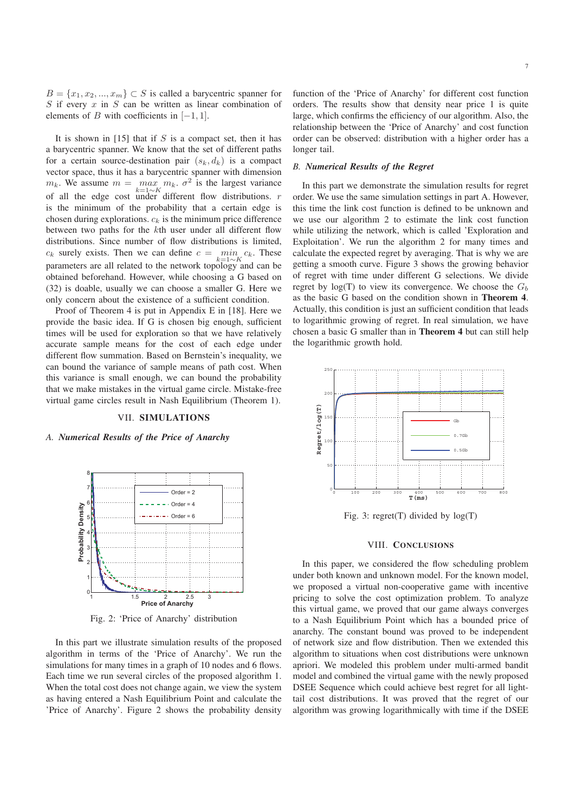$B = \{x_1, x_2, ..., x_m\} \subset S$  is called a barycentric spanner for  $S$  if every  $x$  in  $S$  can be written as linear combination of elements of B with coefficients in  $[-1, 1]$ .

It is shown in  $[15]$  that if S is a compact set, then it has a barycentric spanner. We know that the set of different paths for a certain source-destination pair  $(s_k, d_k)$  is a compact vector space, thus it has a barycentric spanner with dimension  $m_k$ . We assume  $m = \max_{k=1 \sim K} m_k$ .  $\sigma^2$  is the largest variance of all the edge cost under different flow distributions. *r* is the minimum of the probability that a certain edge is chosen during explorations.  $c_k$  is the minimum price difference between two paths for the kth user under all different flow distributions. Since number of flow distributions is limited,  $c_k$  surely exists. Then we can define  $c = \min_{k=1~\sim~K} c_k$ . These parameters are all related to the network topology and can be obtained beforehand. However, while choosing a G based on (32) is doable, usually we can choose a smaller G. Here we only concern about the existence of a sufficient condition.

Proof of Theorem 4 is put in Appendix E in [18]. Here we provide the basic idea. If G is chosen big enough, sufficient times will be used for exploration so that we have relatively accurate sample means for the cost of each edge under different flow summation. Based on Bernstein's inequality, we can bound the variance of sample means of path cost. When this variance is small enough, we can bound the probability that we make mistakes in the virtual game circle. Mistake-free virtual game circles result in Nash Equilibrium (Theorem 1).

# VII. SIMULATIONS

*A. Numerical Results of the Price of Anarchy*



Fig. 2: 'Price of Anarchy' distribution

In this part we illustrate simulation results of the proposed algorithm in terms of the 'Price of Anarchy'. We run the simulations for many times in a graph of 10 nodes and 6 flows. Each time we run several circles of the proposed algorithm 1. When the total cost does not change again, we view the system as having entered a Nash Equilibrium Point and calculate the 'Price of Anarchy'. Figure 2 shows the probability density

function of the 'Price of Anarchy' for different cost function orders. The results show that density near price 1 is quite large, which confirms the efficiency of our algorithm. Also, the relationship between the 'Price of Anarchy' and cost function order can be observed: distribution with a higher order has a longer tail.

#### *B. Numerical Results of the Regret*

In this part we demonstrate the simulation results for regret order. We use the same simulation settings in part A. However, this time the link cost function is defined to be unknown and we use our algorithm 2 to estimate the link cost function while utilizing the network, which is called 'Exploration and Exploitation'. We run the algorithm 2 for many times and calculate the expected regret by averaging. That is why we are getting a smooth curve. Figure 3 shows the growing behavior of regret with time under different G selections. We divide regret by  $log(T)$  to view its convergence. We choose the  $G<sub>b</sub>$ as the basic G based on the condition shown in Theorem 4. Actually, this condition is just an sufficient condition that leads to logarithmic growing of regret. In real simulation, we have chosen a basic G smaller than in Theorem 4 but can still help the logarithmic growth hold.



Fig. 3: regret(T) divided by  $log(T)$ 

# VIII. CONCLUSIONS

In this paper, we considered the flow scheduling problem under both known and unknown model. For the known model, we proposed a virtual non-cooperative game with incentive pricing to solve the cost optimization problem. To analyze this virtual game, we proved that our game always converges to a Nash Equilibrium Point which has a bounded price of anarchy. The constant bound was proved to be independent of network size and flow distribution. Then we extended this algorithm to situations when cost distributions were unknown apriori. We modeled this problem under multi-armed bandit model and combined the virtual game with the newly proposed DSEE Sequence which could achieve best regret for all lighttail cost distributions. It was proved that the regret of our algorithm was growing logarithmically with time if the DSEE